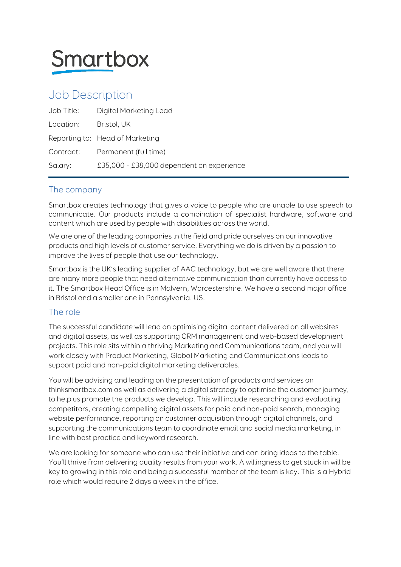

# Job Description

| Job Title: | Digital Marketing Lead                    |
|------------|-------------------------------------------|
| Location:  | Bristol, UK                               |
|            | Reporting to: Head of Marketing           |
| Contract:  | Permanent (full time)                     |
| Salary:    | £35,000 - £38,000 dependent on experience |

## The company

Smartbox creates technology that gives a voice to people who are unable to use speech to communicate. Our products include a combination of specialist hardware, software and content which are used by people with disabilities across the world.

We are one of the leading companies in the field and pride ourselves on our innovative products and high levels of customer service. Everything we do is driven by a passion to improve the lives of people that use our technology.

Smartbox is the UK's leading supplier of AAC technology, but we are well aware that there are many more people that need alternative communication than currently have access to it. The Smartbox Head Office is in Malvern, Worcestershire. We have a second major office in Bristol and a smaller one in Pennsylvania, US.

## The role

The successful candidate will lead on optimising digital content delivered on all websites and digital assets, as well as supporting CRM management and web-based development projects. This role sits within a thriving Marketing and Communications team, and you will work closely with Product Marketing, Global Marketing and Communications leads to support paid and non-paid digital marketing deliverables.

You will be advising and leading on the presentation of products and services on thinksmartbox.com as well as delivering a digital strategy to optimise the customer journey, to help us promote the products we develop. This will include researching and evaluating competitors, creating compelling digital assets for paid and non-paid search, managing website performance, reporting on customer acquisition through digital channels, and supporting the communications team to coordinate email and social media marketing, in line with best practice and keyword research.

We are looking for someone who can use their initiative and can bring ideas to the table. You'll thrive from delivering quality results from your work. A willingness to get stuck in will be key to growing in this role and being a successful member of the team is key. This is a Hybrid role which would require 2 days a week in the office.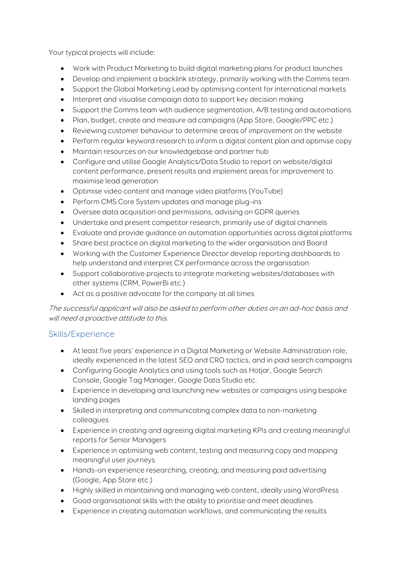Your typical projects will include:

- Work with Product Marketing to build digital marketing plans for product launches
- Develop and implement a backlink strategy, primarily working with the Comms team
- Support the Global Marketing Lead by optimising content for international markets
- Interpret and visualise campaign data to support key decision making
- Support the Comms team with audience segmentation, A/B testing and automations
- Plan, budget, create and measure ad campaigns (App Store, Google/PPC etc.)
- Reviewing customer behaviour to determine areas of improvement on the website
- Perform regular keyword research to inform a digital content plan and optimise copy
- Maintain resources on our knowledgebase and partner hub
- Configure and utilise Google Analytics/Data Studio to report on website/digital content performance, present results and implement areas for improvement to maximise lead generation
- Optimise video content and manage video platforms (YouTube)
- Perform CMS Core System updates and manage plug-ins
- Oversee data acquisition and permissions, advising on GDPR queries
- Undertake and present competitor research, primarily use of digital channels
- Evaluate and provide guidance on automation opportunities across digital platforms
- Share best practice on digital marketing to the wider organisation and Board
- Working with the Customer Experience Director develop reporting dashboards to help understand and interpret CX performance across the organisation
- Support collaborative projects to integrate marketing websites/databases with other systems (CRM, PowerBi etc.)
- Act as a positive advocate for the company at all times

The successful applicant will also be asked to perform other duties on an ad-hoc basis and will need a proactive attitude to this.

### Skills/Experience

- At least five years' experience in a Digital Marketing or Website Administration role, ideally experienced in the latest SEO and CRO tactics, and in paid search campaigns
- Configuring Google Analytics and using tools such as Hotjar, Google Search Console, Google Tag Manager, Google Data Studio etc.
- Experience in developing and launching new websites or campaigns using bespoke landing pages
- Skilled in interpreting and communicating complex data to non-marketing colleagues
- Experience in creating and agreeing digital marketing KPIs and creating meaningful reports for Senior Managers
- Experience in optimising web content, testing and measuring copy and mapping meaningful user journeys
- Hands-on experience researching, creating, and measuring paid advertising (Google, App Store etc.)
- Highly skilled in maintaining and managing web content, ideally using WordPress
- Good organisational skills with the ability to prioritise and meet deadlines
- Experience in creating automation workflows, and communicating the results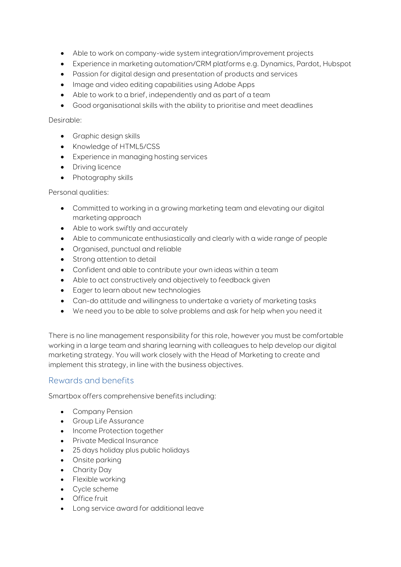- Able to work on company-wide system integration/improvement projects
- Experience in marketing automation/CRM platforms e.g. Dynamics, Pardot, Hubspot
- Passion for digital design and presentation of products and services
- Image and video editing capabilities using Adobe Apps
- Able to work to a brief, independently and as part of a team
- Good organisational skills with the ability to prioritise and meet deadlines

#### Desirable:

- Graphic design skills
- Knowledge of HTML5/CSS
- Experience in managing hosting services
- Driving licence
- Photography skills

#### Personal qualities:

- Committed to working in a growing marketing team and elevating our digital marketing approach
- Able to work swiftly and accurately
- Able to communicate enthusiastically and clearly with a wide range of people
- Organised, punctual and reliable
- Strong attention to detail
- Confident and able to contribute your own ideas within a team
- Able to act constructively and objectively to feedback given
- Eager to learn about new technologies
- Can-do attitude and willingness to undertake a variety of marketing tasks
- We need you to be able to solve problems and ask for help when you need it

There is no line management responsibility for this role, however you must be comfortable working in a large team and sharing learning with colleagues to help develop our digital marketing strategy. You will work closely with the Head of Marketing to create and implement this strategy, in line with the business objectives.

#### Rewards and benefits

Smartbox offers comprehensive benefits including:

- Company Pension
- Group Life Assurance
- Income Protection together
- Private Medical Insurance
- 25 days holiday plus public holidays
- Onsite parking
- Charity Day
- Flexible working
- Cycle scheme
- Office fruit
- Long service award for additional leave